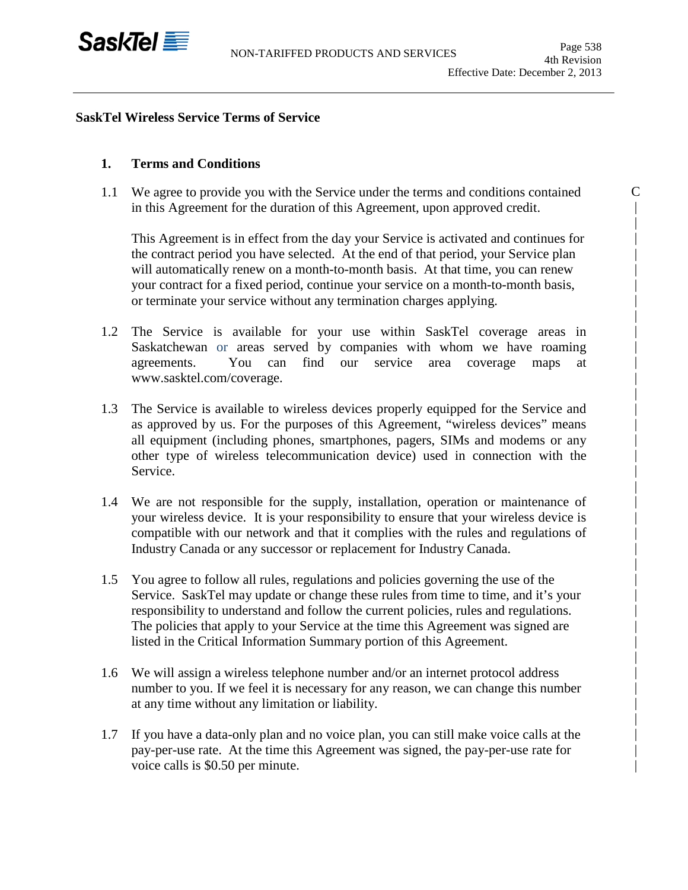

C | | | | | | | | | | | | | | | | | | | | | | | | | | | | | | | | | | | | |

# **SaskTel Wireless Service Terms of Service**

# **1. Terms and Conditions**

1.1 We agree to provide you with the Service under the terms and conditions contained in this Agreement for the duration of this Agreement, upon approved credit.

This Agreement is in effect from the day your Service is activated and continues for the contract period you have selected. At the end of that period, your Service plan will automatically renew on a month-to-month basis. At that time, you can renew your contract for a fixed period, continue your service on a month-to-month basis, or terminate your service without any termination charges applying.

- 1.2 The Service is available for your use within SaskTel coverage areas in Saskatchewan or areas served by companies with whom we have roaming agreements. You can find our service area coverage maps at www.sasktel.com/coverage.
- 1.3 The Service is available to wireless devices properly equipped for the Service and as approved by us. For the purposes of this Agreement, "wireless devices" means all equipment (including phones, smartphones, pagers, SIMs and modems or any other type of wireless telecommunication device) used in connection with the Service.
- 1.4 We are not responsible for the supply, installation, operation or maintenance of your wireless device. It is your responsibility to ensure that your wireless device is compatible with our network and that it complies with the rules and regulations of Industry Canada or any successor or replacement for Industry Canada.
- 1.5 You agree to follow all rules, regulations and policies governing the use of the Service. SaskTel may update or change these rules from time to time, and it's your responsibility to understand and follow the current policies, rules and regulations. The policies that apply to your Service at the time this Agreement was signed are listed in the Critical Information Summary portion of this Agreement.
- 1.6 We will assign a wireless telephone number and/or an internet protocol address number to you. If we feel it is necessary for any reason, we can change this number at any time without any limitation or liability.
- 1.7 If you have a data-only plan and no voice plan, you can still make voice calls at the pay-per-use rate. At the time this Agreement was signed, the pay-per-use rate for voice calls is \$0.50 per minute.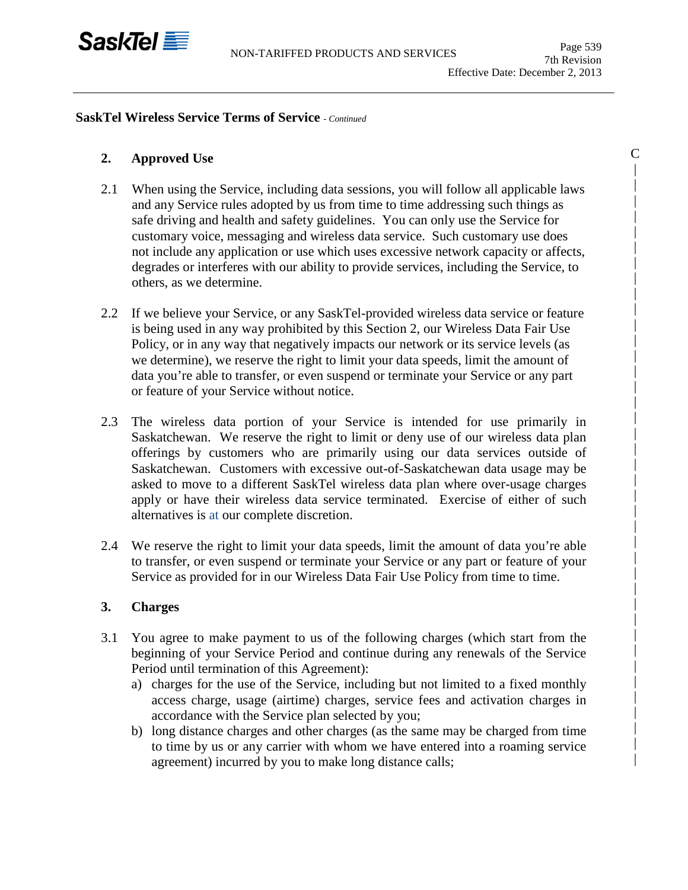

C | | | | | | | | | | | | | | | | | | | | | | | | | | | | | | | | | | | | | | |

#### **SaskTel Wireless Service Terms of Service** *- Continued*

# **2. Approved Use**

- 2.1 When using the Service, including data sessions, you will follow all applicable laws and any Service rules adopted by us from time to time addressing such things as safe driving and health and safety guidelines. You can only use the Service for customary voice, messaging and wireless data service. Such customary use does not include any application or use which uses excessive network capacity or affects, degrades or interferes with our ability to provide services, including the Service, to others, as we determine.
- 2.2 If we believe your Service, or any SaskTel-provided wireless data service or feature is being used in any way prohibited by this Section 2, our Wireless Data Fair Use Policy, or in any way that negatively impacts our network or its service levels (as we determine), we reserve the right to limit your data speeds, limit the amount of data you're able to transfer, or even suspend or terminate your Service or any part or feature of your Service without notice.
- 2.3 The wireless data portion of your Service is intended for use primarily in Saskatchewan. We reserve the right to limit or deny use of our wireless data plan offerings by customers who are primarily using our data services outside of Saskatchewan. Customers with excessive out-of-Saskatchewan data usage may be asked to move to a different SaskTel wireless data plan where over-usage charges apply or have their wireless data service terminated. Exercise of either of such alternatives is at our complete discretion.
- 2.4 We reserve the right to limit your data speeds, limit the amount of data you're able to transfer, or even suspend or terminate your Service or any part or feature of your Service as provided for in our Wireless Data Fair Use Policy from time to time.

# **3. Charges**

- 3.1 You agree to make payment to us of the following charges (which start from the beginning of your Service Period and continue during any renewals of the Service Period until termination of this Agreement):
	- a) charges for the use of the Service, including but not limited to a fixed monthly access charge, usage (airtime) charges, service fees and activation charges in accordance with the Service plan selected by you;
	- b) long distance charges and other charges (as the same may be charged from time to time by us or any carrier with whom we have entered into a roaming service agreement) incurred by you to make long distance calls;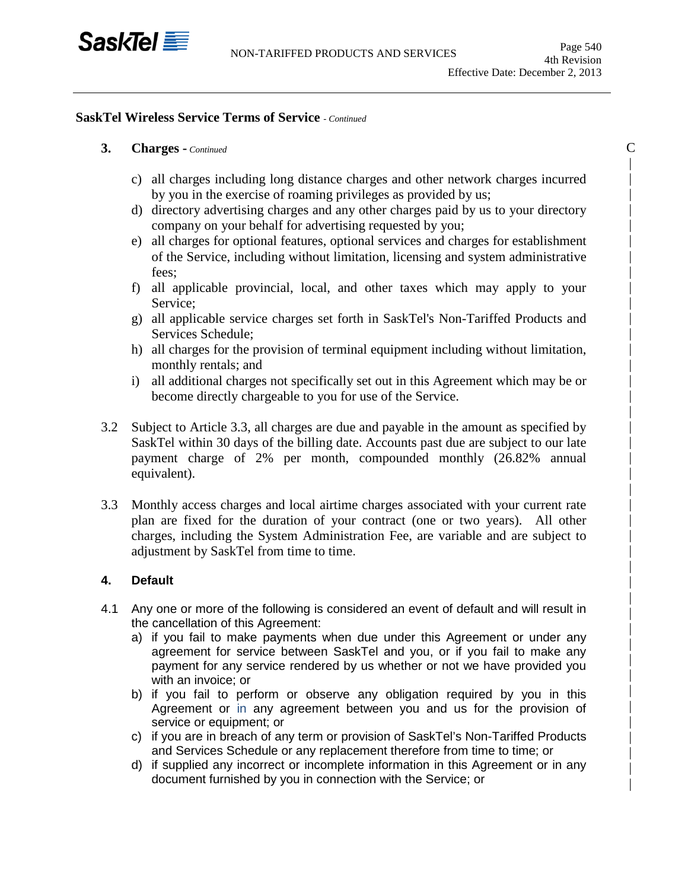

 $\mathcal{C}$ | | | | | | | | | | | | | | | | | | | | | | | | | | | | | | | | | | | | | | | | |

### **SaskTel Wireless Service Terms of Service** *- Continued*

# **3. Charges -** *Continued*

- c) all charges including long distance charges and other network charges incurred by you in the exercise of roaming privileges as provided by us;
- d) directory advertising charges and any other charges paid by us to your directory company on your behalf for advertising requested by you;
- e) all charges for optional features, optional services and charges for establishment of the Service, including without limitation, licensing and system administrative fees;
- f) all applicable provincial, local, and other taxes which may apply to your Service;
- g) all applicable service charges set forth in SaskTel's Non-Tariffed Products and Services Schedule;
- h) all charges for the provision of terminal equipment including without limitation, monthly rentals; and
- i) all additional charges not specifically set out in this Agreement which may be or become directly chargeable to you for use of the Service.
- 3.2 Subject to Article 3.3, all charges are due and payable in the amount as specified by SaskTel within 30 days of the billing date. Accounts past due are subject to our late payment charge of 2% per month, compounded monthly (26.82% annual equivalent).
- 3.3 Monthly access charges and local airtime charges associated with your current rate plan are fixed for the duration of your contract (one or two years). All other charges, including the System Administration Fee, are variable and are subject to adjustment by SaskTel from time to time.

# **4. Default**

- 4.1 Any one or more of the following is considered an event of default and will result in the cancellation of this Agreement:
	- a) if you fail to make payments when due under this Agreement or under any agreement for service between SaskTel and you, or if you fail to make any payment for any service rendered by us whether or not we have provided you with an invoice; or
	- b) if you fail to perform or observe any obligation required by you in this Agreement or in any agreement between you and us for the provision of service or equipment; or
	- c) if you are in breach of any term or provision of SaskTel's Non-Tariffed Products and Services Schedule or any replacement therefore from time to time; or
	- d) if supplied any incorrect or incomplete information in this Agreement or in any document furnished by you in connection with the Service; or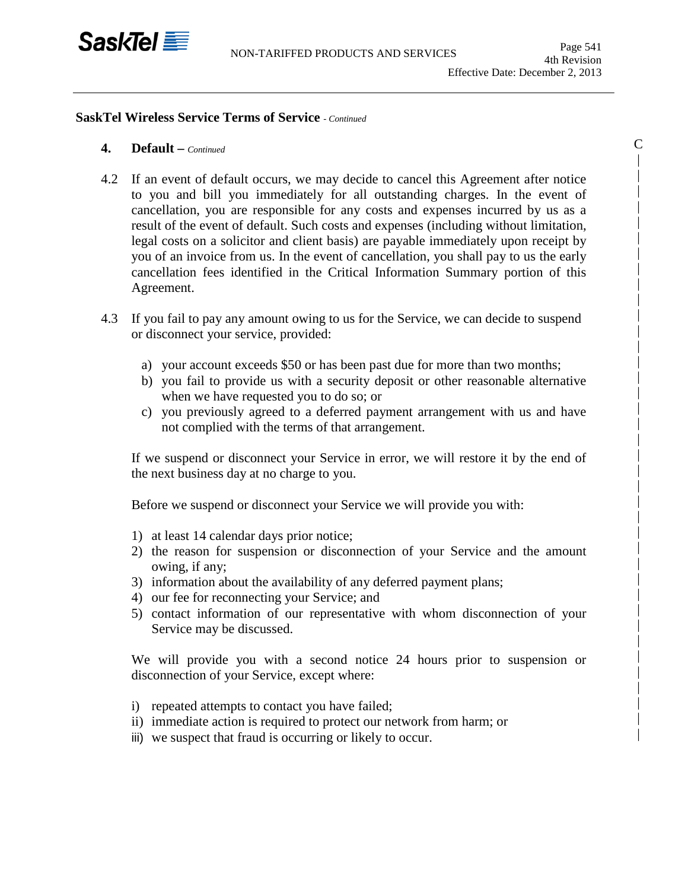

 $\mathcal{C}$ | | | | | | | | | | | | | | | | | | | | | | | | | | | | | | | | | | | | | |

#### **SaskTel Wireless Service Terms of Service** *- Continued*

- **4. Default –** *Continued*
- 4.2 If an event of default occurs, we may decide to cancel this Agreement after notice to you and bill you immediately for all outstanding charges. In the event of cancellation, you are responsible for any costs and expenses incurred by us as a result of the event of default. Such costs and expenses (including without limitation, legal costs on a solicitor and client basis) are payable immediately upon receipt by you of an invoice from us. In the event of cancellation, you shall pay to us the early cancellation fees identified in the Critical Information Summary portion of this Agreement.
- 4.3 If you fail to pay any amount owing to us for the Service, we can decide to suspend or disconnect your service, provided:
	- a) your account exceeds \$50 or has been past due for more than two months;
	- b) you fail to provide us with a security deposit or other reasonable alternative when we have requested you to do so; or
	- c) you previously agreed to a deferred payment arrangement with us and have not complied with the terms of that arrangement.

If we suspend or disconnect your Service in error, we will restore it by the end of the next business day at no charge to you.

Before we suspend or disconnect your Service we will provide you with:

- 1) at least 14 calendar days prior notice;
- 2) the reason for suspension or disconnection of your Service and the amount owing, if any;
- 3) information about the availability of any deferred payment plans;
- 4) our fee for reconnecting your Service; and
- 5) contact information of our representative with whom disconnection of your Service may be discussed.

We will provide you with a second notice 24 hours prior to suspension or disconnection of your Service, except where:

- i) repeated attempts to contact you have failed;
- ii) immediate action is required to protect our network from harm; or
- iii) we suspect that fraud is occurring or likely to occur.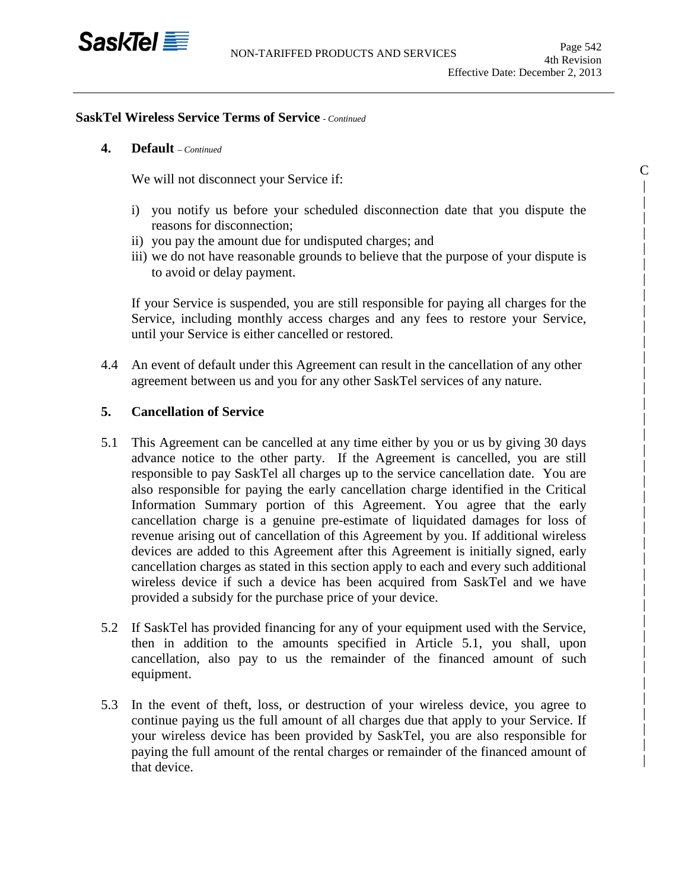

C | | | | | | | | | | | | | | | | | | | | | | | | | | | | | | | | | | | | | |

#### **SaskTel Wireless Service Terms of Service** *- Continued*

# **4. Default** *– Continued*

We will not disconnect your Service if:

- i) you notify us before your scheduled disconnection date that you dispute the reasons for disconnection;
- ii) you pay the amount due for undisputed charges; and
- iii) we do not have reasonable grounds to believe that the purpose of your dispute is to avoid or delay payment.

If your Service is suspended, you are still responsible for paying all charges for the Service, including monthly access charges and any fees to restore your Service, until your Service is either cancelled or restored.

4.4 An event of default under this Agreement can result in the cancellation of any other agreement between us and you for any other SaskTel services of any nature.

#### **5. Cancellation of Service**

- 5.1 This Agreement can be cancelled at any time either by you or us by giving 30 days advance notice to the other party. If the Agreement is cancelled, you are still responsible to pay SaskTel all charges up to the service cancellation date. You are also responsible for paying the early cancellation charge identified in the Critical Information Summary portion of this Agreement. You agree that the early cancellation charge is a genuine pre-estimate of liquidated damages for loss of revenue arising out of cancellation of this Agreement by you. If additional wireless devices are added to this Agreement after this Agreement is initially signed, early cancellation charges as stated in this section apply to each and every such additional wireless device if such a device has been acquired from SaskTel and we have provided a subsidy for the purchase price of your device.…
- 5.2 If SaskTel has provided financing for any of your equipment used with the Service, then in addition to the amounts specified in Article 5.1, you shall, upon cancellation, also pay to us the remainder of the financed amount of such equipment.
- 5.3 In the event of theft, loss, or destruction of your wireless device, you agree to continue paying us the full amount of all charges due that apply to your Service. If your wireless device has been provided by SaskTel, you are also responsible for paying the full amount of the rental charges or remainder of the financed amount of that device.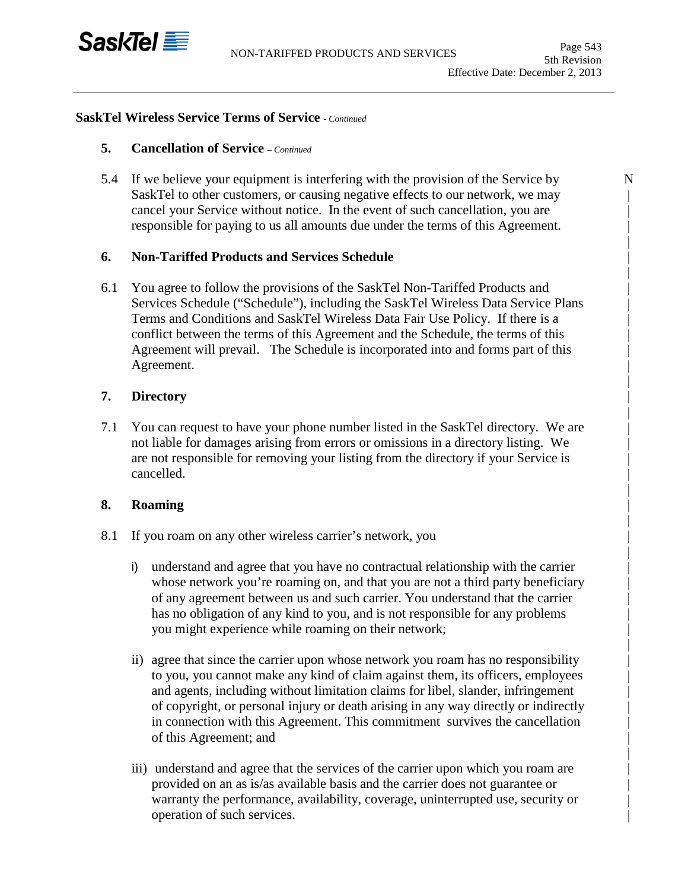

N | | | | | | | | | | | | | | | | | | | | | | | | | | | | | | | | | | | | | | | | |

### **SaskTel Wireless Service Terms of Service** *- Continued*

### **5. Cancellation of Service** *– Continued*

5.4 If we believe your equipment is interfering with the provision of the Service by SaskTel to other customers, or causing negative effects to our network, we may cancel your Service without notice. In the event of such cancellation, you are responsible for paying to us all amounts due under the terms of this Agreement.

# **6. Non-Tariffed Products and Services Schedule**

6.1 You agree to follow the provisions of the SaskTel Non-Tariffed Products and Services Schedule ("Schedule"), including the SaskTel Wireless Data Service Plans Terms and Conditions and SaskTel Wireless Data Fair Use Policy. If there is a conflict between the terms of this Agreement and the Schedule, the terms of this Agreement will prevail. The Schedule is incorporated into and forms part of this Agreement.

### **7. Directory**

7.1 You can request to have your phone number listed in the SaskTel directory. We are not liable for damages arising from errors or omissions in a directory listing. We are not responsible for removing your listing from the directory if your Service is cancelled.

#### **8. Roaming**

- 8.1 If you roam on any other wireless carrier's network, you
	- i) understand and agree that you have no contractual relationship with the carrier whose network you're roaming on, and that you are not a third party beneficiary of any agreement between us and such carrier. You understand that the carrier has no obligation of any kind to you, and is not responsible for any problems you might experience while roaming on their network;
	- ii) agree that since the carrier upon whose network you roam has no responsibility to you, you cannot make any kind of claim against them, its officers, employees and agents, including without limitation claims for libel, slander, infringement of copyright, or personal injury or death arising in any way directly or indirectly in connection with this Agreement. This commitment survives the cancellation of this Agreement; and
	- iii) understand and agree that the services of the carrier upon which you roam are provided on an as is/as available basis and the carrier does not guarantee or warranty the performance, availability, coverage, uninterrupted use, security or operation of such services.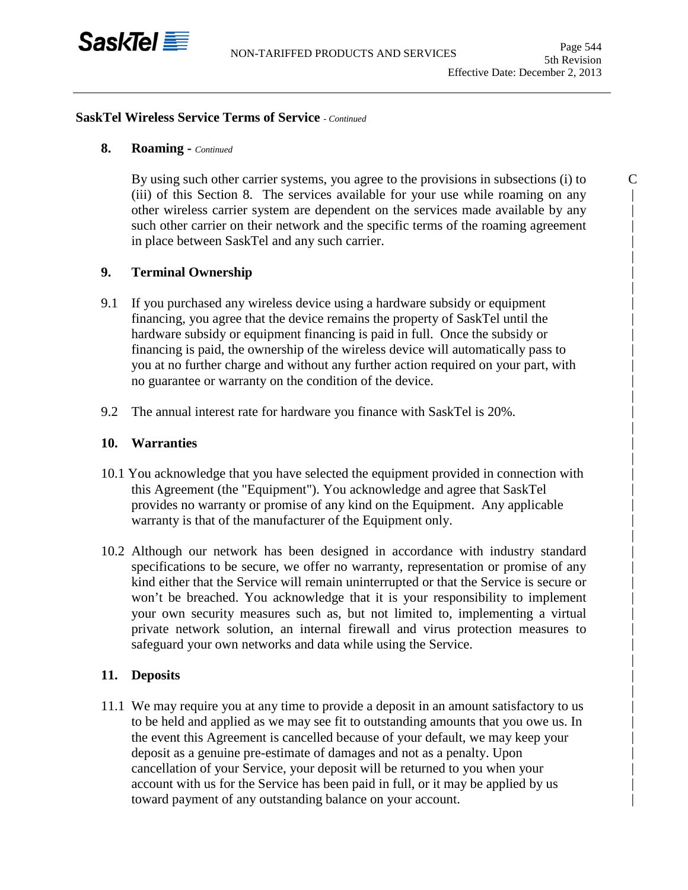

C | | | | | | | | | | | | | | | | | | | | | | | | | | | | | | | | | | | | | | | |

#### **SaskTel Wireless Service Terms of Service** *- Continued*

# **8. Roaming -** *Continued*

By using such other carrier systems, you agree to the provisions in subsections (i) to (iii) of this Section 8. The services available for your use while roaming on any other wireless carrier system are dependent on the services made available by any such other carrier on their network and the specific terms of the roaming agreement in place between SaskTel and any such carrier.

# **9. Terminal Ownership**

- 9.1 If you purchased any wireless device using a hardware subsidy or equipment financing, you agree that the device remains the property of SaskTel until the hardware subsidy or equipment financing is paid in full. Once the subsidy or financing is paid, the ownership of the wireless device will automatically pass to you at no further charge and without any further action required on your part, with no guarantee or warranty on the condition of the device.
- 9.2 The annual interest rate for hardware you finance with SaskTel is 20%.

### **10. Warranties**

- 10.1 You acknowledge that you have selected the equipment provided in connection with this Agreement (the "Equipment"). You acknowledge and agree that SaskTel provides no warranty or promise of any kind on the Equipment. Any applicable warranty is that of the manufacturer of the Equipment only.
- 10.2 Although our network has been designed in accordance with industry standard specifications to be secure, we offer no warranty, representation or promise of any kind either that the Service will remain uninterrupted or that the Service is secure or won't be breached. You acknowledge that it is your responsibility to implement your own security measures such as, but not limited to, implementing a virtual private network solution, an internal firewall and virus protection measures to safeguard your own networks and data while using the Service.

#### **11. Deposits**

11.1 We may require you at any time to provide a deposit in an amount satisfactory to us to be held and applied as we may see fit to outstanding amounts that you owe us. In the event this Agreement is cancelled because of your default, we may keep your deposit as a genuine pre-estimate of damages and not as a penalty. Upon cancellation of your Service, your deposit will be returned to you when your account with us for the Service has been paid in full, or it may be applied by us toward payment of any outstanding balance on your account.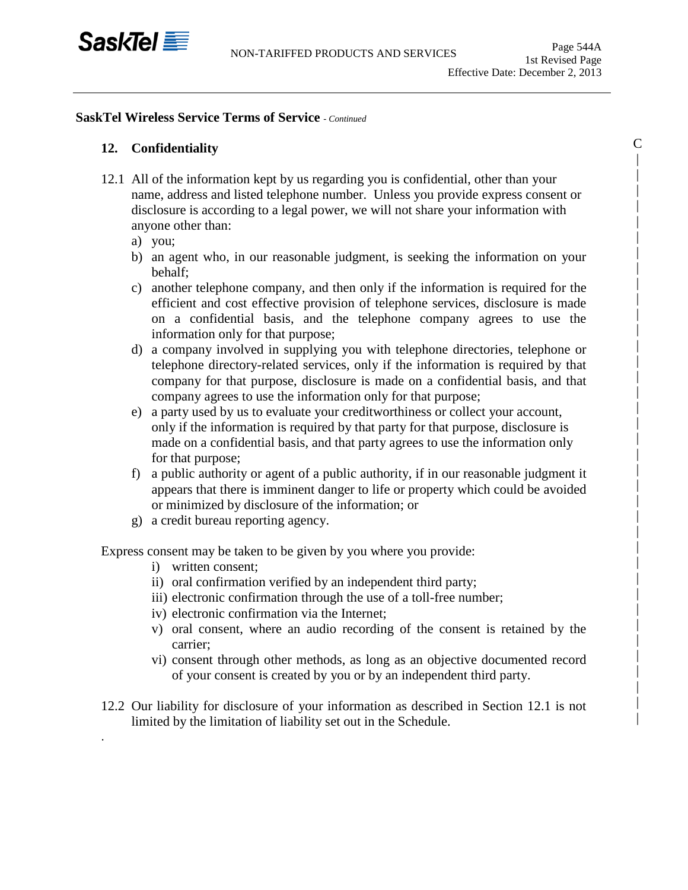

C | | | | | | | | | | | | | | | | | | | | | | | | | | | | | | | | | | | | |

### **SaskTel Wireless Service Terms of Service** *- Continued*

# **12. Confidentiality**

- 12.1 All of the information kept by us regarding you is confidential, other than your name, address and listed telephone number. Unless you provide express consent or disclosure is according to a legal power, we will not share your information with anyone other than:
	- a) you;
	- b) an agent who, in our reasonable judgment, is seeking the information on your behalf;
	- c) another telephone company, and then only if the information is required for the efficient and cost effective provision of telephone services, disclosure is made on a confidential basis, and the telephone company agrees to use the information only for that purpose;
	- d) a company involved in supplying you with telephone directories, telephone or telephone directory-related services, only if the information is required by that company for that purpose, disclosure is made on a confidential basis, and that company agrees to use the information only for that purpose;
	- e) a party used by us to evaluate your creditworthiness or collect your account, only if the information is required by that party for that purpose, disclosure is made on a confidential basis, and that party agrees to use the information only for that purpose;
	- f) a public authority or agent of a public authority, if in our reasonable judgment it appears that there is imminent danger to life or property which could be avoided or minimized by disclosure of the information; or
	- g) a credit bureau reporting agency.

Express consent may be taken to be given by you where you provide:

i) written consent;

.

- ii) oral confirmation verified by an independent third party;
- iii) electronic confirmation through the use of a toll-free number;
- iv) electronic confirmation via the Internet;
- v) oral consent, where an audio recording of the consent is retained by the carrier;
- vi) consent through other methods, as long as an objective documented record of your consent is created by you or by an independent third party.
- 12.2 Our liability for disclosure of your information as described in Section 12.1 is not limited by the limitation of liability set out in the Schedule.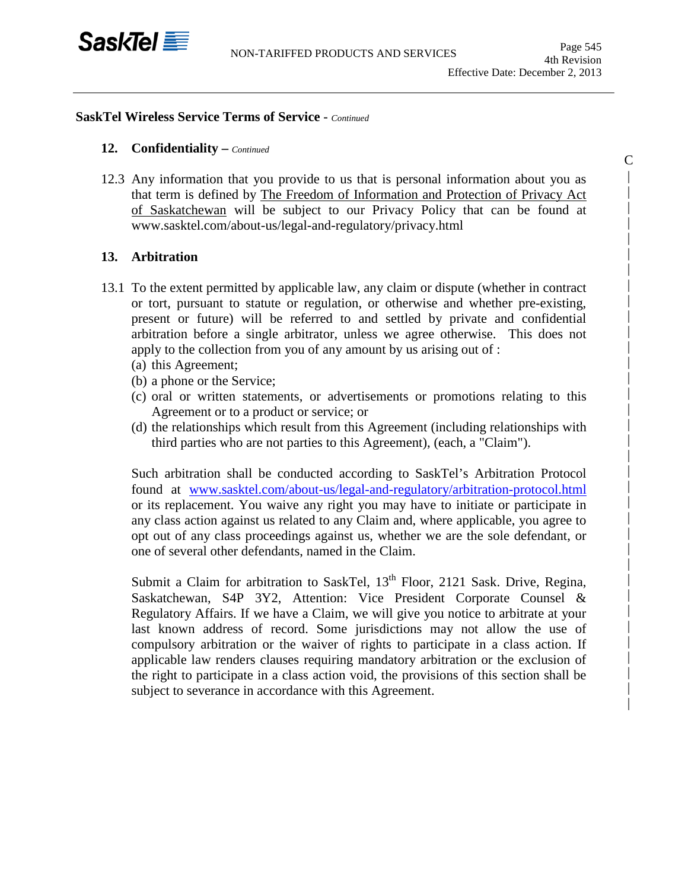C | | | | | | | | | | | | | | | | | | | | | | | | | | | | | | | | | | |

### **SaskTel Wireless Service Terms of Service** - *Continued*

### **12. Confidentiality –** *Continued*

12.3 Any information that you provide to us that is personal information about you as that term is defined by The Freedom of Information and Protection of Privacy Act of Saskatchewan will be subject to our Privacy Policy that can be found at www.sasktel.com/about-us/legal-and-regulatory/privacy.html

# **13. Arbitration**

- 13.1 To the extent permitted by applicable law, any claim or dispute (whether in contract or tort, pursuant to statute or regulation, or otherwise and whether pre-existing, present or future) will be referred to and settled by private and confidential arbitration before a single arbitrator, unless we agree otherwise. This does not apply to the collection from you of any amount by us arising out of :
	- (a) this Agreement;
	- (b) a phone or the Service;
	- (c) oral or written statements, or advertisements or promotions relating to this Agreement or to a product or service; or
	- (d) the relationships which result from this Agreement (including relationships with third parties who are not parties to this Agreement), (each, a "Claim").

Such arbitration shall be conducted according to SaskTel's Arbitration Protocol found at [www.sasktel.com/about-us/legal-and-regulatory/arbitration-protocol.html](http://www.sasktel.com/about-us/legal-and-regulatory/arbitration-protocol.html) or its replacement. You waive any right you may have to initiate or participate in any class action against us related to any Claim and, where applicable, you agree to opt out of any class proceedings against us, whether we are the sole defendant, or one of several other defendants, named in the Claim.

Submit a Claim for arbitration to SaskTel, 13<sup>th</sup> Floor, 2121 Sask. Drive, Regina, Saskatchewan, S4P 3Y2, Attention: Vice President Corporate Counsel & Regulatory Affairs. If we have a Claim, we will give you notice to arbitrate at your last known address of record. Some jurisdictions may not allow the use of compulsory arbitration or the waiver of rights to participate in a class action. If applicable law renders clauses requiring mandatory arbitration or the exclusion of the right to participate in a class action void, the provisions of this section shall be subject to severance in accordance with this Agreement.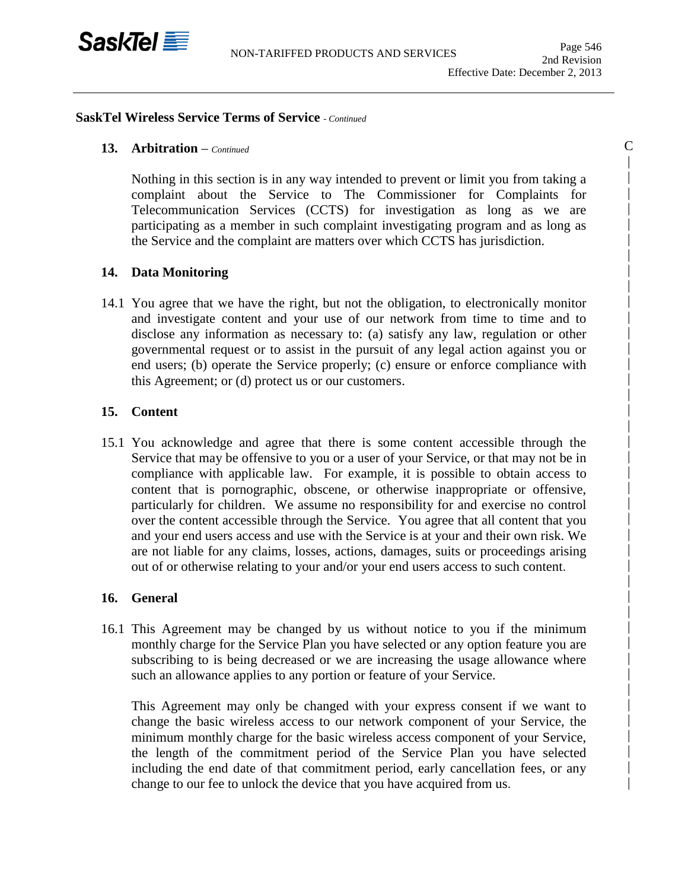

C | | | | | | | | | | | | | | | | | | | | | | | | | | | | | | | | | | | | | | | | |

#### **SaskTel Wireless Service Terms of Service** *- Continued*

### **13. Arbitration** *– Continued*

Nothing in this section is in any way intended to prevent or limit you from taking a complaint about the Service to The Commissioner for Complaints for Telecommunication Services (CCTS) for investigation as long as we are participating as a member in such complaint investigating program and as long as the Service and the complaint are matters over which CCTS has jurisdiction.

#### **14. Data Monitoring**

14.1 You agree that we have the right, but not the obligation, to electronically monitor and investigate content and your use of our network from time to time and to disclose any information as necessary to: (a) satisfy any law, regulation or other governmental request or to assist in the pursuit of any legal action against you or end users; (b) operate the Service properly; (c) ensure or enforce compliance with this Agreement; or (d) protect us or our customers.

### **15. Content**

15.1 You acknowledge and agree that there is some content accessible through the Service that may be offensive to you or a user of your Service, or that may not be in compliance with applicable law. For example, it is possible to obtain access to content that is pornographic, obscene, or otherwise inappropriate or offensive, particularly for children. We assume no responsibility for and exercise no control over the content accessible through the Service. You agree that all content that you and your end users access and use with the Service is at your and their own risk. We are not liable for any claims, losses, actions, damages, suits or proceedings arising out of or otherwise relating to your and/or your end users access to such content.

#### **16. General**

16.1 This Agreement may be changed by us without notice to you if the minimum monthly charge for the Service Plan you have selected or any option feature you are subscribing to is being decreased or we are increasing the usage allowance where such an allowance applies to any portion or feature of your Service.

This Agreement may only be changed with your express consent if we want to change the basic wireless access to our network component of your Service, the minimum monthly charge for the basic wireless access component of your Service, the length of the commitment period of the Service Plan you have selected including the end date of that commitment period, early cancellation fees, or any change to our fee to unlock the device that you have acquired from us.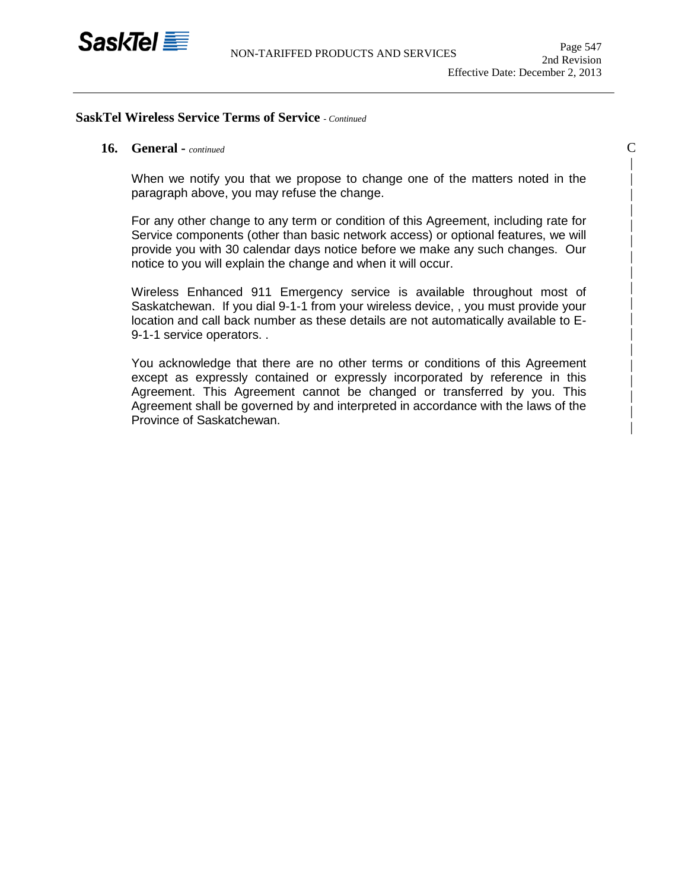

 $\overline{C}$ | | | | | | | | | | | | | | | | | |

### **SaskTel Wireless Service Terms of Service** *- Continued*

### **16. General -** *continued*

When we notify you that we propose to change one of the matters noted in the paragraph above, you may refuse the change.

For any other change to any term or condition of this Agreement, including rate for Service components (other than basic network access) or optional features, we will provide you with 30 calendar days notice before we make any such changes. Our notice to you will explain the change and when it will occur.

Wireless Enhanced 911 Emergency service is available throughout most of Saskatchewan. If you dial 9-1-1 from your wireless device, , you must provide your location and call back number as these details are not automatically available to E-9-1-1 service operators. .

You acknowledge that there are no other terms or conditions of this Agreement except as expressly contained or expressly incorporated by reference in this Agreement. This Agreement cannot be changed or transferred by you. This Agreement shall be governed by and interpreted in accordance with the laws of the Province of Saskatchewan.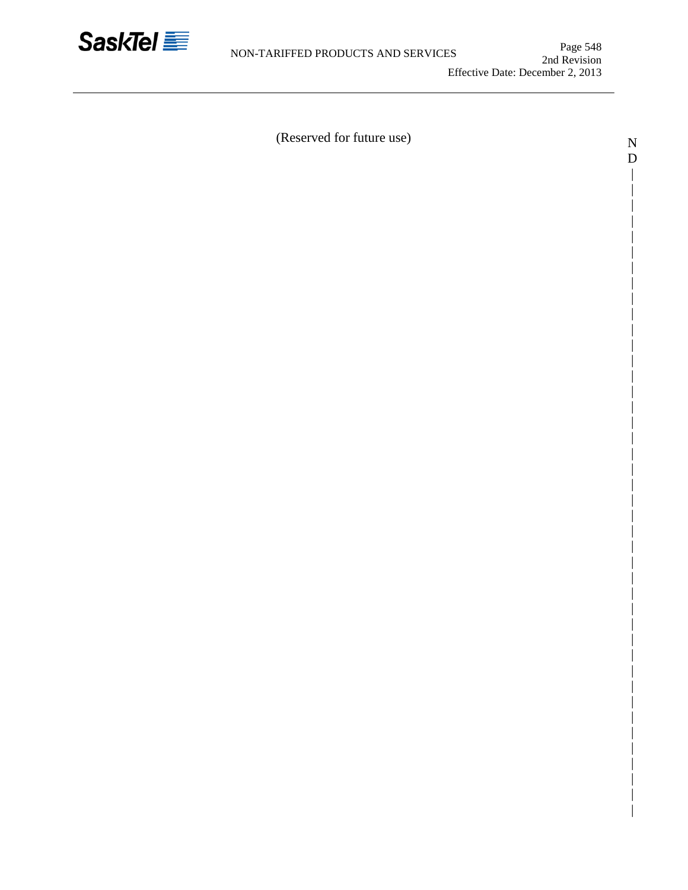

| | | | | | | | | | | | | | | | | | | | | | | | |

D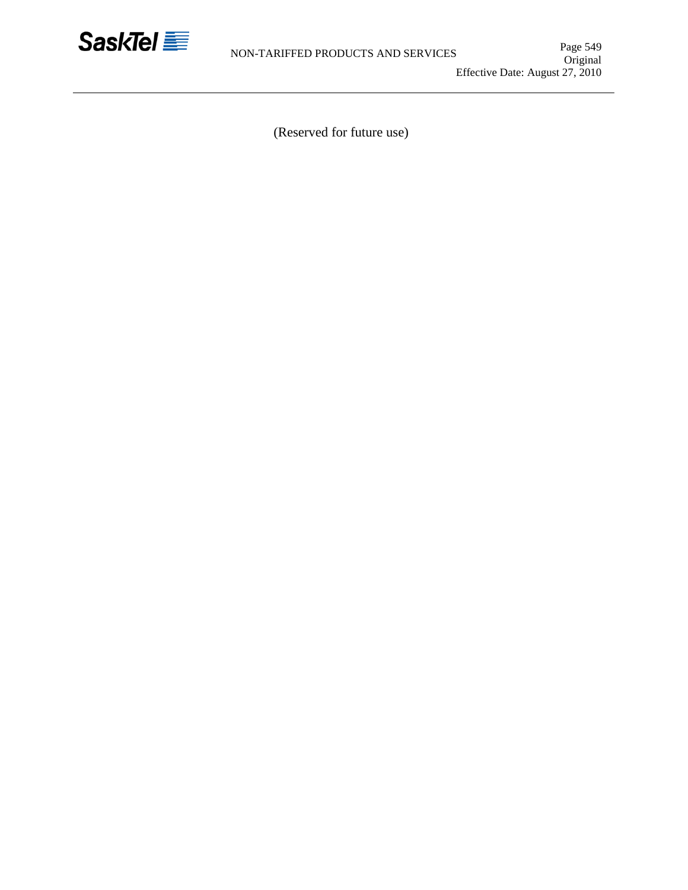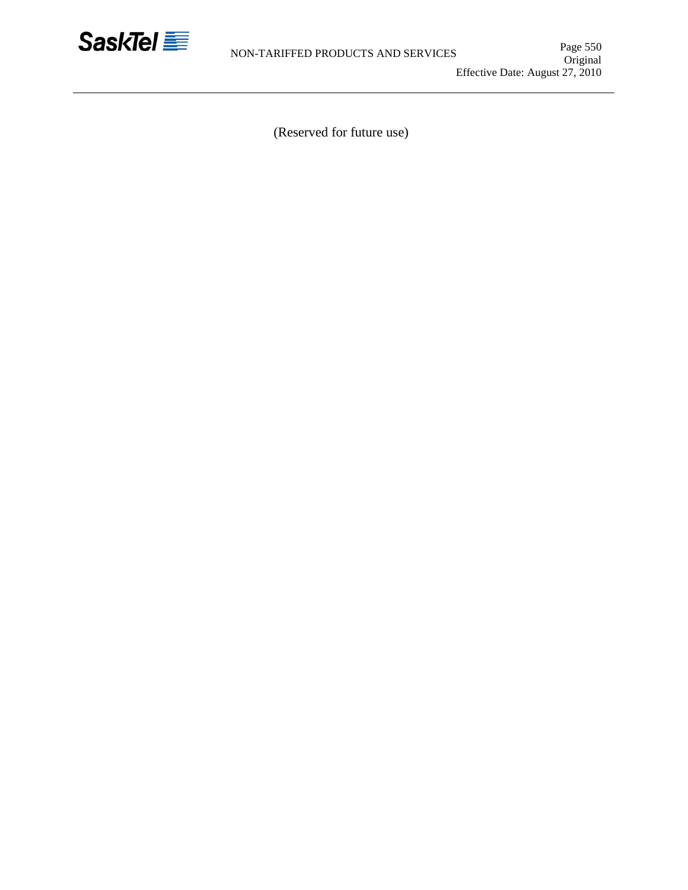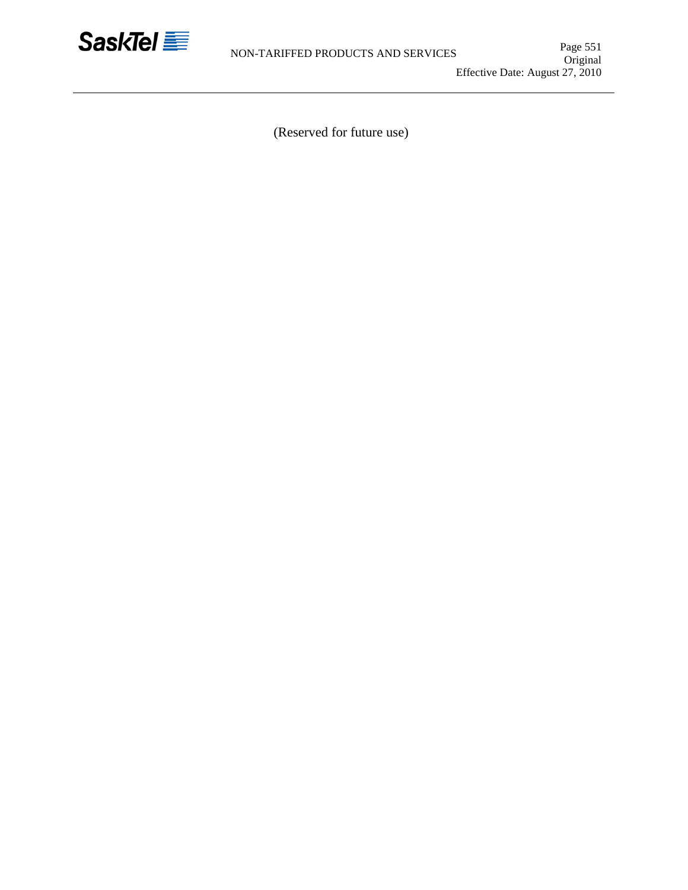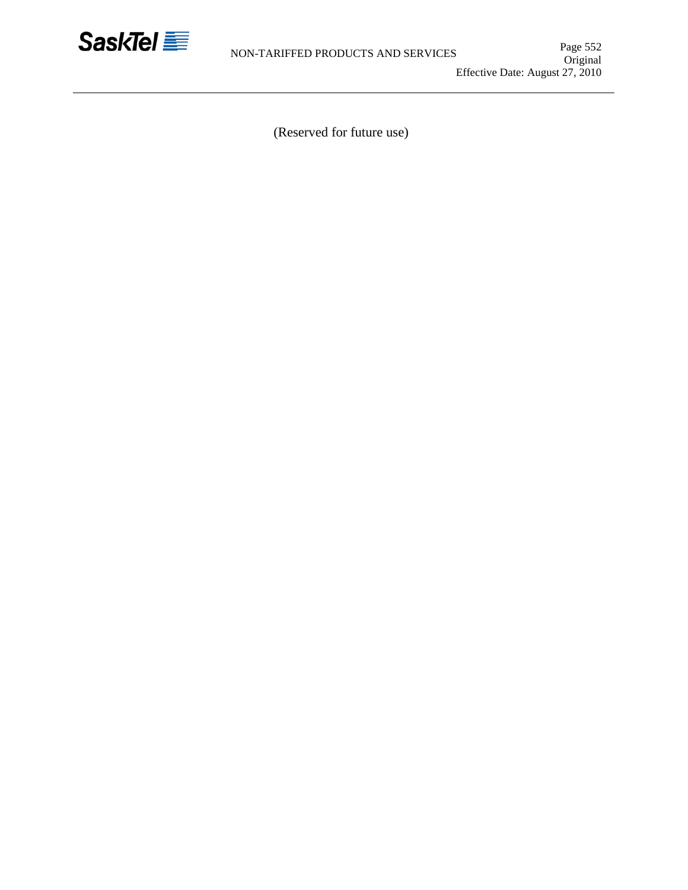